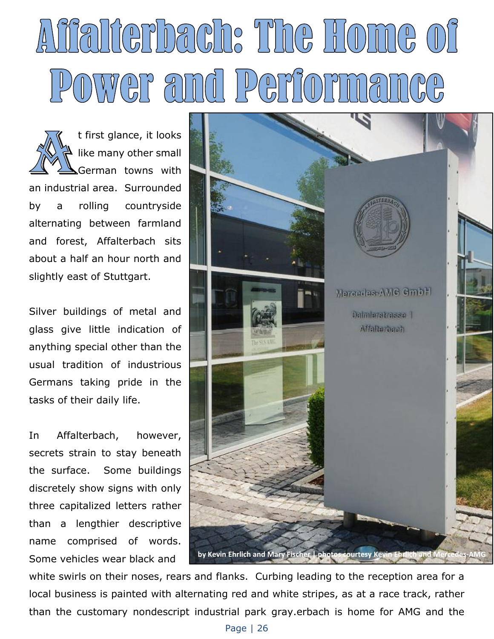## Alifalierbach: The Home of POWEF and Peri

t first glance, it looks like many other small German towns with an industrial area. Surrounded by a rolling countryside alternating between farmland and forest, Affalterbach sits about a half an hour north and slightly east of Stuttgart.

Silver buildings of metal and glass give little indication of anything special other than the usual tradition of industrious Germans taking pride in the tasks of their daily life.

In Affalterbach, however, secrets strain to stay beneath the surface. Some buildings discretely show signs with only three capitalized letters rather than a lengthier descriptive name comprised of words. Some vehicles wear black and



white swirls on their noses, rears and flanks. Curbing leading to the reception area for a local business is painted with alternating red and white stripes, as at a race track, rather than the customary nondescript industrial park gray.erbach is home for AMG and the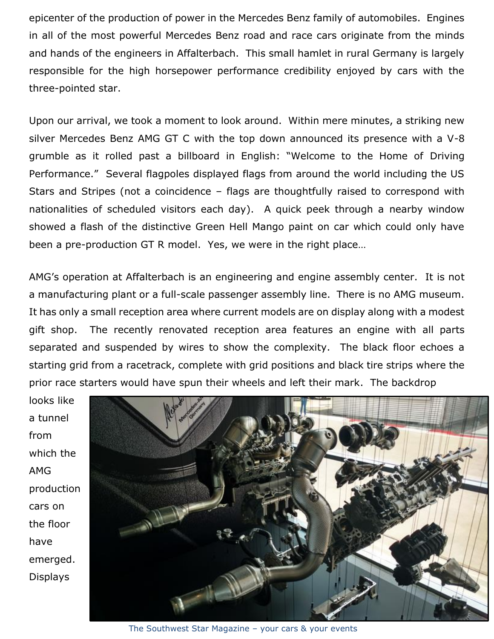epicenter of the production of power in the Mercedes Benz family of automobiles. Engines in all of the most powerful Mercedes Benz road and race cars originate from the minds and hands of the engineers in Affalterbach. This small hamlet in rural Germany is largely responsible for the high horsepower performance credibility enjoyed by cars with the three-pointed star.

Upon our arrival, we took a moment to look around. Within mere minutes, a striking new silver Mercedes Benz AMG GT C with the top down announced its presence with a V-8 grumble as it rolled past a billboard in English: "Welcome to the Home of Driving Performance." Several flagpoles displayed flags from around the world including the US Stars and Stripes (not a coincidence – flags are thoughtfully raised to correspond with nationalities of scheduled visitors each day). A quick peek through a nearby window showed a flash of the distinctive Green Hell Mango paint on car which could only have been a pre-production GT R model. Yes, we were in the right place…

AMG's operation at Affalterbach is an engineering and engine assembly center. It is not a manufacturing plant or a full-scale passenger assembly line. There is no AMG museum. It has only a small reception area where current models are on display along with a modest gift shop. The recently renovated reception area features an engine with all parts separated and suspended by wires to show the complexity. The black floor echoes a starting grid from a racetrack, complete with grid positions and black tire strips where the prior race starters would have spun their wheels and left their mark. The backdrop

looks like a tunnel from which the AMG production cars on the floor have emerged. Displays



The Southwest Star Magazine – your cars & your events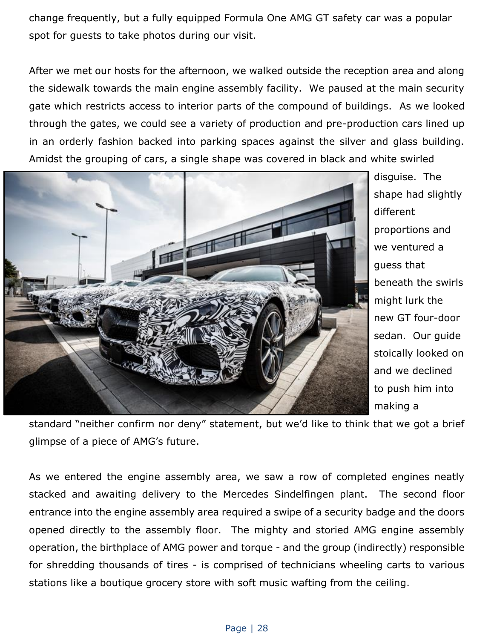change frequently, but a fully equipped Formula One AMG GT safety car was a popular spot for guests to take photos during our visit.

After we met our hosts for the afternoon, we walked outside the reception area and along the sidewalk towards the main engine assembly facility. We paused at the main security gate which restricts access to interior parts of the compound of buildings. As we looked through the gates, we could see a variety of production and pre-production cars lined up in an orderly fashion backed into parking spaces against the silver and glass building. Amidst the grouping of cars, a single shape was covered in black and white swirled



disguise. The shape had slightly different proportions and we ventured a guess that beneath the swirls might lurk the new GT four-door sedan. Our guide stoically looked on and we declined to push him into making a

standard "neither confirm nor deny" statement, but we'd like to think that we got a brief glimpse of a piece of AMG's future.

As we entered the engine assembly area, we saw a row of completed engines neatly stacked and awaiting delivery to the Mercedes Sindelfingen plant. The second floor entrance into the engine assembly area required a swipe of a security badge and the doors opened directly to the assembly floor. The mighty and storied AMG engine assembly operation, the birthplace of AMG power and torque - and the group (indirectly) responsible for shredding thousands of tires - is comprised of technicians wheeling carts to various stations like a boutique grocery store with soft music wafting from the ceiling.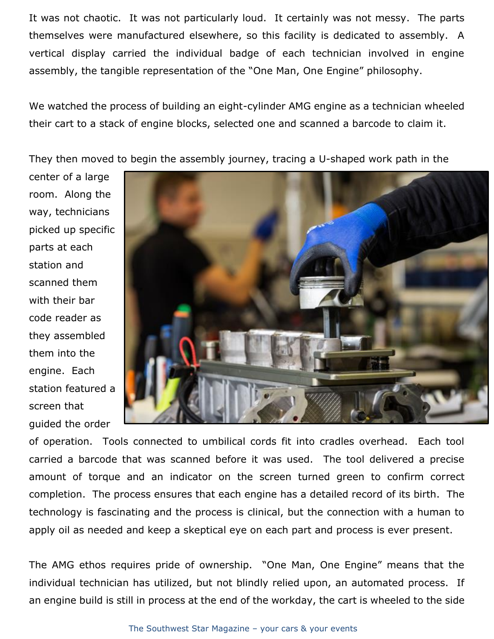It was not chaotic. It was not particularly loud. It certainly was not messy. The parts themselves were manufactured elsewhere, so this facility is dedicated to assembly. A vertical display carried the individual badge of each technician involved in engine assembly, the tangible representation of the "One Man, One Engine" philosophy.

We watched the process of building an eight-cylinder AMG engine as a technician wheeled their cart to a stack of engine blocks, selected one and scanned a barcode to claim it.

They then moved to begin the assembly journey, tracing a U-shaped work path in the

center of a large room. Along the way, technicians picked up specific parts at each station and scanned them with their bar code reader as they assembled them into the engine. Each station featured a screen that guided the order



of operation. Tools connected to umbilical cords fit into cradles overhead. Each tool carried a barcode that was scanned before it was used. The tool delivered a precise amount of torque and an indicator on the screen turned green to confirm correct completion. The process ensures that each engine has a detailed record of its birth. The technology is fascinating and the process is clinical, but the connection with a human to apply oil as needed and keep a skeptical eye on each part and process is ever present.

The AMG ethos requires pride of ownership. "One Man, One Engine" means that the individual technician has utilized, but not blindly relied upon, an automated process. If an engine build is still in process at the end of the workday, the cart is wheeled to the side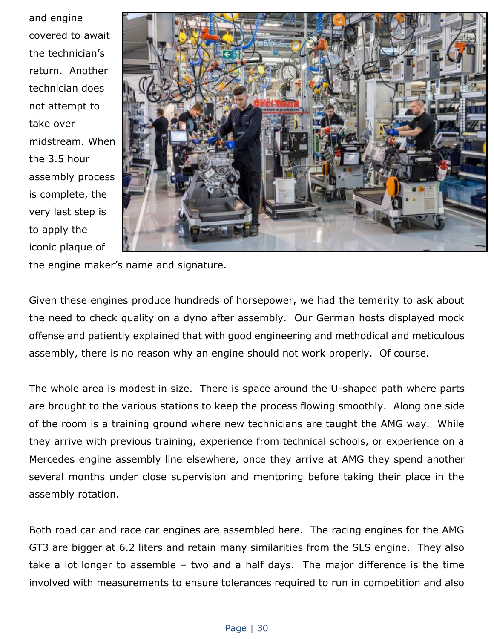and engine covered to await the technician's return. Another technician does not attempt to take over midstream. When the 3.5 hour assembly process is complete, the very last step is to apply the iconic plaque of



the engine maker's name and signature.

Given these engines produce hundreds of horsepower, we had the temerity to ask about the need to check quality on a dyno after assembly. Our German hosts displayed mock offense and patiently explained that with good engineering and methodical and meticulous assembly, there is no reason why an engine should not work properly. Of course.

The whole area is modest in size. There is space around the U-shaped path where parts are brought to the various stations to keep the process flowing smoothly. Along one side of the room is a training ground where new technicians are taught the AMG way. While they arrive with previous training, experience from technical schools, or experience on a Mercedes engine assembly line elsewhere, once they arrive at AMG they spend another several months under close supervision and mentoring before taking their place in the assembly rotation.

Both road car and race car engines are assembled here. The racing engines for the AMG GT3 are bigger at 6.2 liters and retain many similarities from the SLS engine. They also take a lot longer to assemble – two and a half days. The major difference is the time involved with measurements to ensure tolerances required to run in competition and also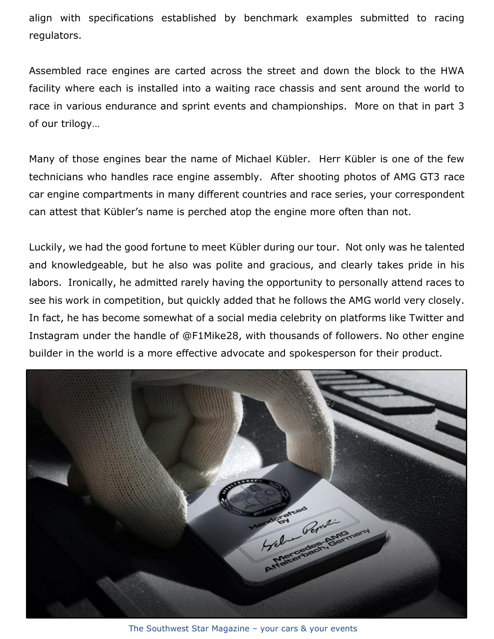align with specifications established by benchmark examples submitted to racing regulators.

Assembled race engines are carted across the street and down the block to the HWA facility where each is installed into a waiting race chassis and sent around the world to race in various endurance and sprint events and championships. More on that in part 3 of our trilogy…

Many of those engines bear the name of Michael Kübler. Herr Kübler is one of the few technicians who handles race engine assembly. After shooting photos of AMG GT3 race car engine compartments in many different countries and race series, your correspondent can attest that Kübler's name is perched atop the engine more often than not.

Luckily, we had the good fortune to meet Kübler during our tour. Not only was he talented and knowledgeable, but he also was polite and gracious, and clearly takes pride in his labors. Ironically, he admitted rarely having the opportunity to personally attend races to see his work in competition, but quickly added that he follows the AMG world very closely. In fact, he has become somewhat of a social media celebrity on platforms like Twitter and Instagram under the handle of @F1Mike28, with thousands of followers. No other engine builder in the world is a more effective advocate and spokesperson for their product.



The Southwest Star Magazine – your cars & your events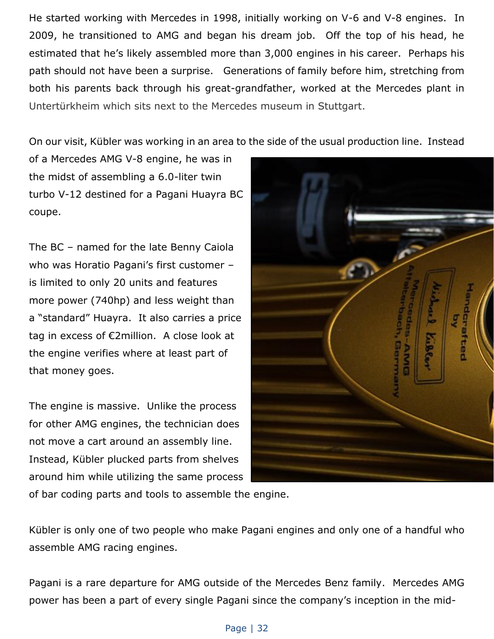He started working with Mercedes in 1998, initially working on V-6 and V-8 engines. In 2009, he transitioned to AMG and began his dream job. Off the top of his head, he estimated that he's likely assembled more than 3,000 engines in his career. Perhaps his path should not have been a surprise. Generations of family before him, stretching from both his parents back through his great-grandfather, worked at the Mercedes plant in Untertürkheim which sits next to the Mercedes museum in Stuttgart.

On our visit, Kübler was working in an area to the side of the usual production line. Instead

of a Mercedes AMG V-8 engine, he was in the midst of assembling a 6.0-liter twin turbo V-12 destined for a Pagani Huayra BC coupe.

The BC – named for the late Benny Caiola who was Horatio Pagani's first customer – is limited to only 20 units and features more power (740hp) and less weight than a "standard" Huayra. It also carries a price tag in excess of €2million. A close look at the engine verifies where at least part of that money goes.

The engine is massive. Unlike the process for other AMG engines, the technician does not move a cart around an assembly line. Instead, Kübler plucked parts from shelves around him while utilizing the same process



of bar coding parts and tools to assemble the engine.

Kübler is only one of two people who make Pagani engines and only one of a handful who assemble AMG racing engines.

Pagani is a rare departure for AMG outside of the Mercedes Benz family. Mercedes AMG power has been a part of every single Pagani since the company's inception in the mid-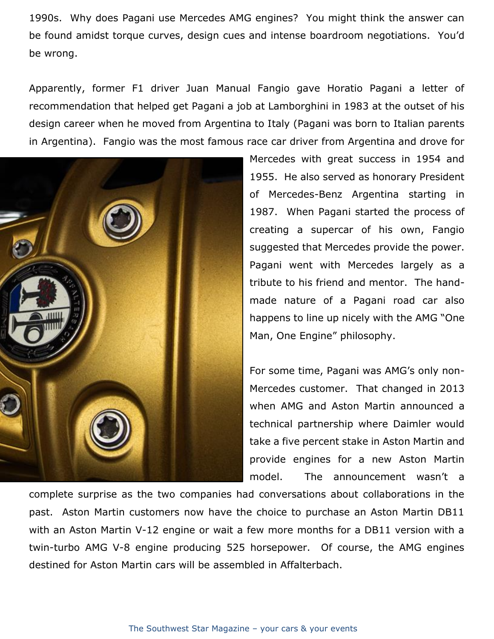1990s. Why does Pagani use Mercedes AMG engines? You might think the answer can be found amidst torque curves, design cues and intense boardroom negotiations. You'd be wrong.

Apparently, former F1 driver Juan Manual Fangio gave Horatio Pagani a letter of recommendation that helped get Pagani a job at Lamborghini in 1983 at the outset of his design career when he moved from Argentina to Italy (Pagani was born to Italian parents in Argentina). Fangio was the most famous race car driver from Argentina and drove for



Mercedes with great success in 1954 and 1955. He also served as honorary President of Mercedes-Benz Argentina starting in 1987. When Pagani started the process of creating a supercar of his own, Fangio suggested that Mercedes provide the power. Pagani went with Mercedes largely as a tribute to his friend and mentor. The handmade nature of a Pagani road car also happens to line up nicely with the AMG "One Man, One Engine" philosophy.

For some time, Pagani was AMG's only non-Mercedes customer. That changed in 2013 when AMG and Aston Martin announced a technical partnership where Daimler would take a five percent stake in Aston Martin and provide engines for a new Aston Martin model. The announcement wasn't a

complete surprise as the two companies had conversations about collaborations in the past. Aston Martin customers now have the choice to purchase an Aston Martin DB11 with an Aston Martin V-12 engine or wait a few more months for a DB11 version with a twin-turbo AMG V-8 engine producing 525 horsepower. Of course, the AMG engines destined for Aston Martin cars will be assembled in Affalterbach.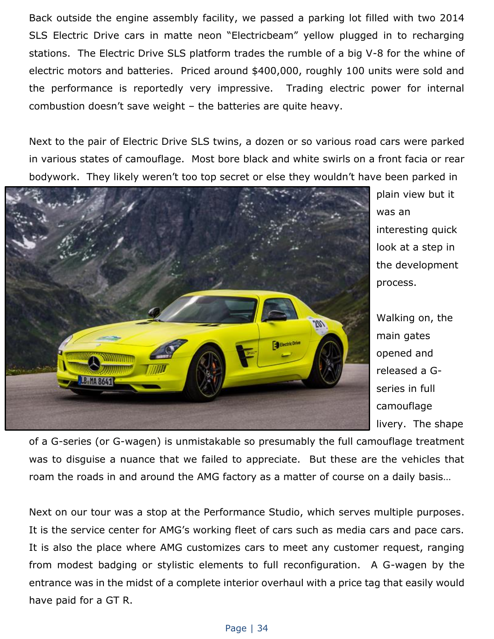Back outside the engine assembly facility, we passed a parking lot filled with two 2014 SLS Electric Drive cars in matte neon "Electricbeam" yellow plugged in to recharging stations. The Electric Drive SLS platform trades the rumble of a big V-8 for the whine of electric motors and batteries. Priced around \$400,000, roughly 100 units were sold and the performance is reportedly very impressive. Trading electric power for internal combustion doesn't save weight – the batteries are quite heavy.

Next to the pair of Electric Drive SLS twins, a dozen or so various road cars were parked in various states of camouflage. Most bore black and white swirls on a front facia or rear bodywork. They likely weren't too top secret or else they wouldn't have been parked in



plain view but it was an interesting quick look at a step in the development process.

Walking on, the main gates opened and released a Gseries in full camouflage livery. The shape

of a G-series (or G-wagen) is unmistakable so presumably the full camouflage treatment was to disguise a nuance that we failed to appreciate. But these are the vehicles that roam the roads in and around the AMG factory as a matter of course on a daily basis…

Next on our tour was a stop at the Performance Studio, which serves multiple purposes. It is the service center for AMG's working fleet of cars such as media cars and pace cars. It is also the place where AMG customizes cars to meet any customer request, ranging from modest badging or stylistic elements to full reconfiguration. A G-wagen by the entrance was in the midst of a complete interior overhaul with a price tag that easily would have paid for a GT R.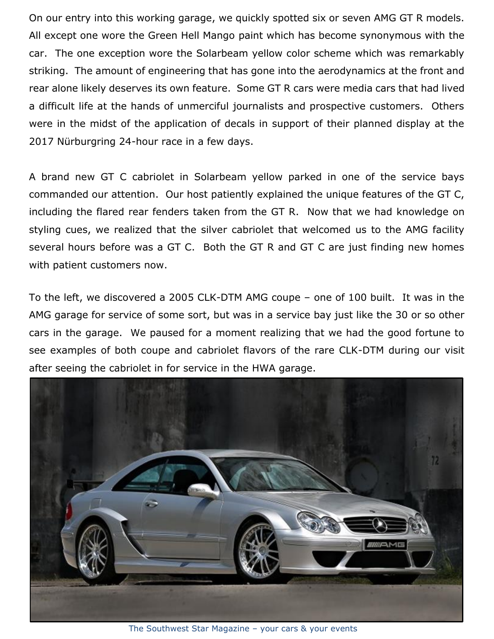On our entry into this working garage, we quickly spotted six or seven AMG GT R models. All except one wore the Green Hell Mango paint which has become synonymous with the car. The one exception wore the Solarbeam yellow color scheme which was remarkably striking. The amount of engineering that has gone into the aerodynamics at the front and rear alone likely deserves its own feature. Some GT R cars were media cars that had lived a difficult life at the hands of unmerciful journalists and prospective customers. Others were in the midst of the application of decals in support of their planned display at the 2017 Nürburgring 24-hour race in a few days.

A brand new GT C cabriolet in Solarbeam yellow parked in one of the service bays commanded our attention. Our host patiently explained the unique features of the GT C, including the flared rear fenders taken from the GT R. Now that we had knowledge on styling cues, we realized that the silver cabriolet that welcomed us to the AMG facility several hours before was a GT C. Both the GT R and GT C are just finding new homes with patient customers now.

To the left, we discovered a 2005 CLK-DTM AMG coupe – one of 100 built. It was in the AMG garage for service of some sort, but was in a service bay just like the 30 or so other cars in the garage. We paused for a moment realizing that we had the good fortune to see examples of both coupe and cabriolet flavors of the rare CLK-DTM during our visit after seeing the cabriolet in for service in the HWA garage.



The Southwest Star Magazine – your cars & your events